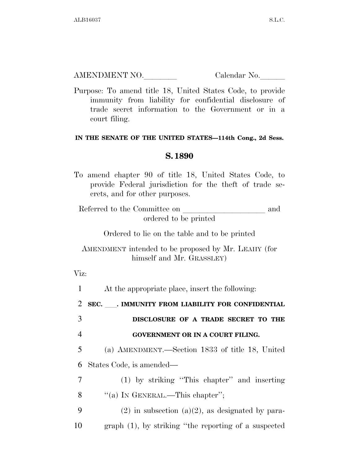AMENDMENT NO. Calendar No.

Purpose: To amend title 18, United States Code, to provide immunity from liability for confidential disclosure of trade secret information to the Government or in a court filing.

## **IN THE SENATE OF THE UNITED STATES—114th Cong., 2d Sess.**

## **S. 1890**

To amend chapter 90 of title 18, United States Code, to provide Federal jurisdiction for the theft of trade secrets, and for other purposes.

Referred to the Committee on and ordered to be printed

Ordered to lie on the table and to be printed

AMENDMENT intended to be proposed by Mr. LEAHY (for himself and Mr. GRASSLEY)

Viz:

1 At the appropriate place, insert the following:

<sup>2</sup> **SEC.** ll**. IMMUNITY FROM LIABILITY FOR CONFIDENTIAL** 

3 **DISCLOSURE OF A TRADE SECRET TO THE**  4 **GOVERNMENT OR IN A COURT FILING.** 

5 (a) AMENDMENT.—Section 1833 of title 18, United 6 States Code, is amended—

7 (1) by striking ''This chapter'' and inserting 8 "(a) In GENERAL.—This chapter";

9 (2) in subsection (a)(2), as designated by para-10 graph (1), by striking ''the reporting of a suspected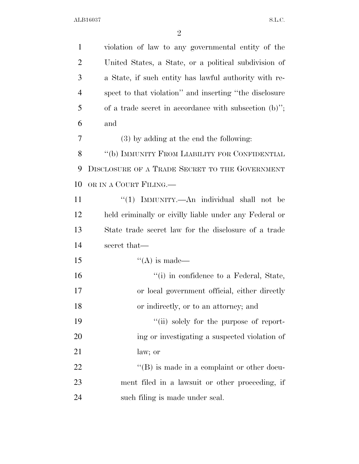| $\mathbf{1}$   | violation of law to any governmental entity of the       |
|----------------|----------------------------------------------------------|
| $\overline{2}$ | United States, a State, or a political subdivision of    |
| 3              | a State, if such entity has lawful authority with re-    |
| 4              | spect to that violation" and inserting "the disclosure   |
| 5              | of a trade secret in accordance with subsection $(b)$ "; |
| 6              | and                                                      |
| 7              | $(3)$ by adding at the end the following:                |
| 8              | "(b) IMMUNITY FROM LIABILITY FOR CONFIDENTIAL            |
| 9              | DISCLOSURE OF A TRADE SECRET TO THE GOVERNMENT           |
| 10             | OR IN A COURT FILING.—                                   |
| 11             | "(1) IMMUNITY.—An individual shall not be                |
| 12             | held criminally or civilly liable under any Federal or   |
| 13             | State trade secret law for the disclosure of a trade     |
| 14             | secret that—                                             |
| 15             | $\lq\lq$ is made—                                        |
| 16             | "(i) in confidence to a Federal, State,                  |
| 17             | or local government official, either directly            |
| 18             | or indirectly, or to an attorney; and                    |
| 19             | "(ii) solely for the purpose of report-                  |
| 20             | ing or investigating a suspected violation of            |
| 21             | law; or                                                  |
| 22             | $\lq\lq (B)$ is made in a complaint or other docu-       |
| 23             | ment filed in a lawsuit or other proceeding, if          |
| 24             | such filing is made under seal.                          |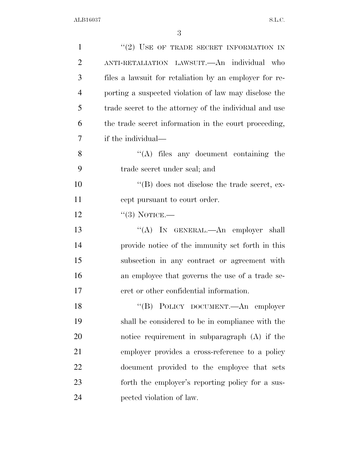| $\mathbf{1}$   | "(2) USE OF TRADE SECRET INFORMATION IN                |
|----------------|--------------------------------------------------------|
| $\overline{2}$ | ANTI-RETALIATION LAWSUIT. An individual who            |
| 3              | files a lawsuit for retaliation by an employer for re- |
| $\overline{4}$ | porting a suspected violation of law may disclose the  |
| 5              | trade secret to the attorney of the individual and use |
| 6              | the trade secret information in the court proceeding,  |
| 7              | if the individual—                                     |
| 8              | $\lq\lq$ files any document containing the             |
| 9              | trade secret under seal; and                           |
| 10             | $\lq\lq (B)$ does not disclose the trade secret, ex-   |
| 11             | cept pursuant to court order.                          |
| 12             | $``(3)$ NOTICE.—                                       |
| 13             | "(A) IN GENERAL.—An employer shall                     |
| 14             | provide notice of the immunity set forth in this       |
| 15             | subsection in any contract or agreement with           |
| 16             | an employee that governs the use of a trade se-        |
| 17             | eret or other confidential information.                |
| 18             | "(B) POLICY DOCUMENT.—An employer                      |
| 19             | shall be considered to be in compliance with the       |
| 20             | notice requirement in subparagraph (A) if the          |
| 21             | employer provides a cross-reference to a policy        |
| 22             | document provided to the employee that sets            |
| 23             | forth the employer's reporting policy for a sus-       |
| 24             | pected violation of law.                               |